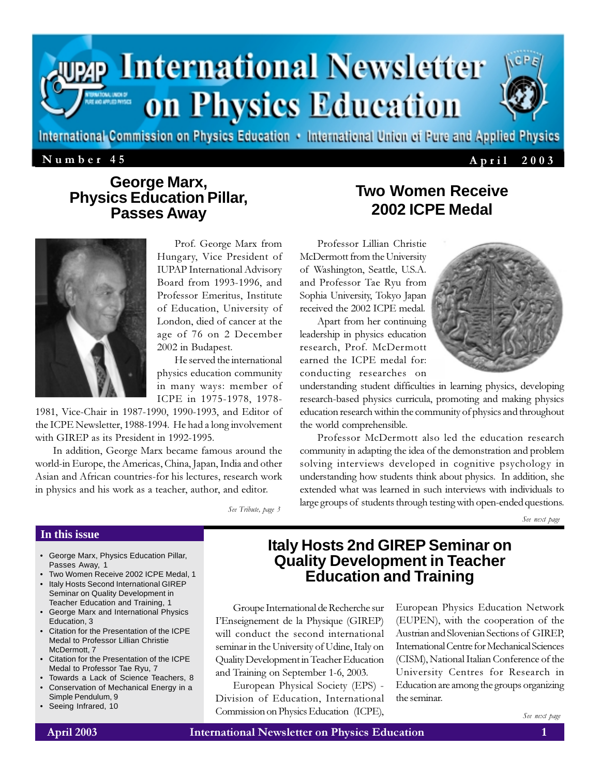

International Commission on Physics Education • International Union of Pure and Applied Physics

### $N$ umber 45  $A$ pril 2003

## **George Marx, Physics Education Pillar, Passes Away**



Prof. George Marx from Hungary, Vice President of IUPAP International Advisory Board from 1993-1996, and Professor Emeritus, Institute of Education, University of London, died of cancer at the age of 76 on 2 December 2002 in Budapest.

He served the international physics education community in many ways: member of ICPE in 1975-1978, 1978-

1981, Vice-Chair in 1987-1990, 1990-1993, and Editor of the ICPE Newsletter, 1988-1994. He had a long involvement with GIREP as its President in 1992-1995.

In addition, George Marx became famous around the world-in Europe, the Americas, China, Japan, India and other Asian and African countries-for his lectures, research work in physics and his work as a teacher, author, and editor.

# **Two Women Receive 2002 ICPE Medal**

Professor Lillian Christie McDermott from the University of Washington, Seattle, U.S.A. and Professor Tae Ryu from Sophia University, Tokyo Japan received the 2002 ICPE medal.

Apart from her continuing leadership in physics education research, Prof. McDermott earned the ICPE medal for: conducting researches on



understanding student difficulties in learning physics, developing research-based physics curricula, promoting and making physics education research within the community of physics and throughout the world comprehensible.

Professor McDermott also led the education research community in adapting the idea of the demonstration and problem solving interviews developed in cognitive psychology in understanding how students think about physics. In addition, she extended what was learned in such interviews with individuals to large groups of students through testing with open-ended questions.

See next page

See Tribute, page 3

#### **In this issue**

- George Marx, Physics Education Pillar, Passes Away, 1
- Two Women Receive 2002 ICPE Medal, 1 • Italy Hosts Second International GIREP Seminar on Quality Development in
- Teacher Education and Training, 1 • George Marx and International Physics Education, 3
- Citation for the Presentation of the ICPE Medal to Professor Lillian Christie McDermott, 7
- Citation for the Presentation of the ICPE Medal to Professor Tae Ryu, 7
- Towards a Lack of Science Teachers, 8
- Conservation of Mechanical Energy in a Simple Pendulum, 9
- Seeing Infrared, 10

# **Italy Hosts 2nd GIREP Seminar on Quality Development in Teacher Education and Training**

Groupe International de Recherche sur I'Enseignement de la Physique (GIREP) will conduct the second international seminar in the University of Udine, Italy on Quality Development in Teacher Education and Training on September 1-6, 2003.

European Physical Society (EPS) - Division of Education, International Commission on Physics Education (ICPE), European Physics Education Network (EUPEN), with the cooperation of the Austrian and Slovenian Sections of GIREP, International Centre for Mechanical Sciences (CISM), National Italian Conference of the University Centres for Research in Education are among the groups organizing the seminar.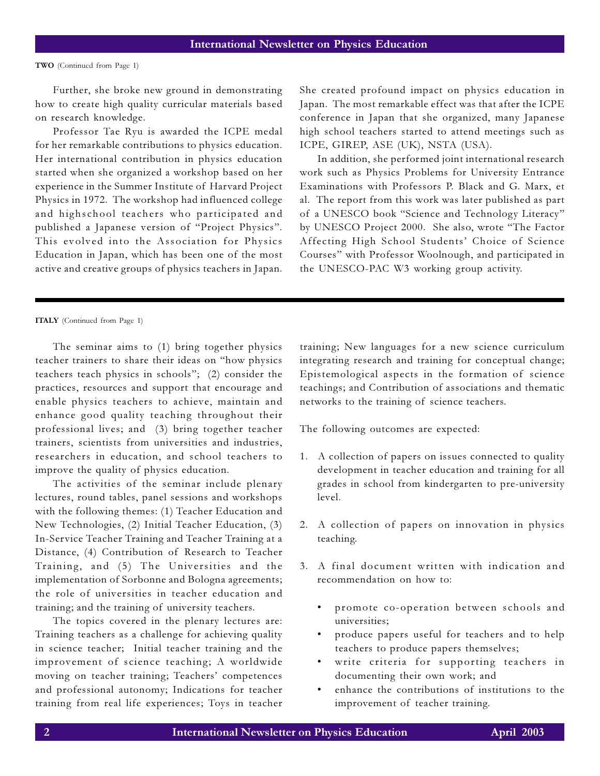TWO (Continued from Page 1)

Further, she broke new ground in demonstrating how to create high quality curricular materials based on research knowledge.

Professor Tae Ryu is awarded the ICPE medal for her remarkable contributions to physics education. Her international contribution in physics education started when she organized a workshop based on her experience in the Summer Institute of Harvard Project Physics in 1972. The workshop had influenced college and highschool teachers who participated and published a Japanese version of "Project Physics". This evolved into the Association for Physics Education in Japan, which has been one of the most active and creative groups of physics teachers in Japan.

She created profound impact on physics education in Japan. The most remarkable effect was that after the ICPE conference in Japan that she organized, many Japanese high school teachers started to attend meetings such as ICPE, GIREP, ASE (UK), NSTA (USA).

In addition, she performed joint international research work such as Physics Problems for University Entrance Examinations with Professors P. Black and G. Marx, et al. The report from this work was later published as part of a UNESCO book "Science and Technology Literacy" by UNESCO Project 2000. She also, wrote "The Factor Affecting High School Students' Choice of Science Courses" with Professor Woolnough, and participated in the UNESCO-PAC W3 working group activity.

ITALY (Continued from Page 1)

The seminar aims to (1) bring together physics teacher trainers to share their ideas on "how physics teachers teach physics in schools"; (2) consider the practices, resources and support that encourage and enable physics teachers to achieve, maintain and enhance good quality teaching throughout their professional lives; and (3) bring together teacher trainers, scientists from universities and industries, researchers in education, and school teachers to improve the quality of physics education.

The activities of the seminar include plenary lectures, round tables, panel sessions and workshops with the following themes: (1) Teacher Education and New Technologies, (2) Initial Teacher Education, (3) In-Service Teacher Training and Teacher Training at a Distance, (4) Contribution of Research to Teacher Training, and (5) The Universities and the implementation of Sorbonne and Bologna agreements; the role of universities in teacher education and training; and the training of university teachers.

The topics covered in the plenary lectures are: Training teachers as a challenge for achieving quality in science teacher; Initial teacher training and the improvement of science teaching; A worldwide moving on teacher training; Teachers' competences and professional autonomy; Indications for teacher training from real life experiences; Toys in teacher training; New languages for a new science curriculum integrating research and training for conceptual change; Epistemological aspects in the formation of science teachings; and Contribution of associations and thematic networks to the training of science teachers.

The following outcomes are expected:

- 1. A collection of papers on issues connected to quality development in teacher education and training for all grades in school from kindergarten to pre-university level.
- 2. A collection of papers on innovation in physics teaching.
- 3. A final document written with indication and recommendation on how to:
	- promote co-operation between schools and universities;
	- produce papers useful for teachers and to help teachers to produce papers themselves;
	- write criteria for supporting teachers in documenting their own work; and
	- enhance the contributions of institutions to the improvement of teacher training.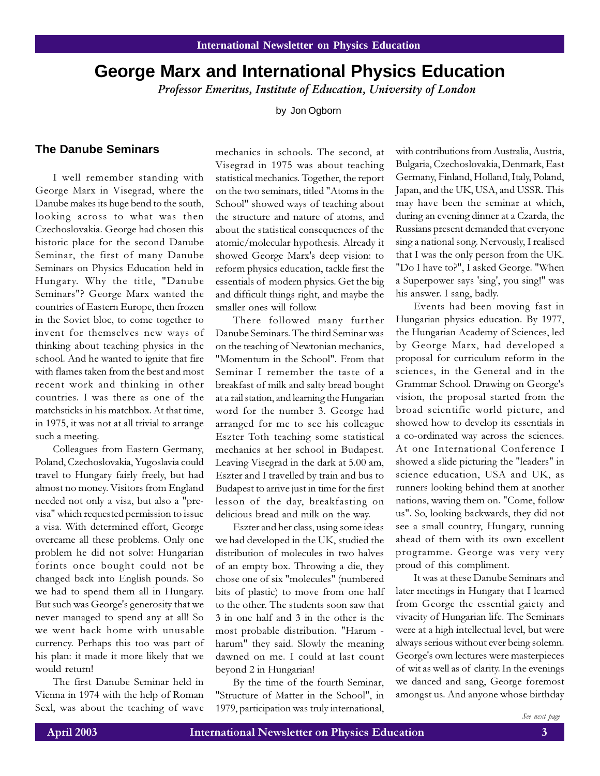## **George Marx and International Physics Education**

Professor Emeritus, Institute of Education, University of London

by Jon Ogborn

#### **The Danube Seminars**

I well remember standing with George Marx in Visegrad, where the Danube makes its huge bend to the south, looking across to what was then Czechoslovakia. George had chosen this historic place for the second Danube Seminar, the first of many Danube Seminars on Physics Education held in Hungary. Why the title, "Danube Seminars"? George Marx wanted the countries of Eastern Europe, then frozen in the Soviet bloc, to come together to invent for themselves new ways of thinking about teaching physics in the school. And he wanted to ignite that fire with flames taken from the best and most recent work and thinking in other countries. I was there as one of the matchsticks in his matchbox. At that time, in 1975, it was not at all trivial to arrange such a meeting.

Colleagues from Eastern Germany, Poland, Czechoslovakia, Yugoslavia could travel to Hungary fairly freely, but had almost no money. Visitors from England needed not only a visa, but also a "previsa" which requested permission to issue a visa. With determined effort, George overcame all these problems. Only one problem he did not solve: Hungarian forints once bought could not be changed back into English pounds. So we had to spend them all in Hungary. But such was George's generosity that we never managed to spend any at all! So we went back home with unusable currency. Perhaps this too was part of his plan: it made it more likely that we would return!

The first Danube Seminar held in Vienna in 1974 with the help of Roman Sexl, was about the teaching of wave mechanics in schools. The second, at Visegrad in 1975 was about teaching statistical mechanics. Together, the report on the two seminars, titled "Atoms in the School" showed ways of teaching about the structure and nature of atoms, and about the statistical consequences of the atomic/molecular hypothesis. Already it showed George Marx's deep vision: to reform physics education, tackle first the essentials of modern physics. Get the big and difficult things right, and maybe the smaller ones will follow.

There followed many further Danube Seminars. The third Seminar was on the teaching of Newtonian mechanics, "Momentum in the School". From that Seminar I remember the taste of a breakfast of milk and salty bread bought at a rail station, and learning the Hungarian word for the number 3. George had arranged for me to see his colleague Eszter Toth teaching some statistical mechanics at her school in Budapest. Leaving Visegrad in the dark at 5.00 am, Eszter and I travelled by train and bus to Budapest to arrive just in time for the first lesson of the day, breakfasting on delicious bread and milk on the way.

Eszter and her class, using some ideas we had developed in the UK, studied the distribution of molecules in two halves of an empty box. Throwing a die, they chose one of six "molecules" (numbered bits of plastic) to move from one half to the other. The students soon saw that 3 in one half and 3 in the other is the most probable distribution. "Harum harum" they said. Slowly the meaning dawned on me. I could at last count beyond 2 in Hungarian!

By the time of the fourth Seminar, "Structure of Matter in the School", in 1979, participation was truly international, with contributions from Australia, Austria, Bulgaria, Czechoslovakia, Denmark, East Germany, Finland, Holland, Italy, Poland, Japan, and the UK, USA, and USSR. This may have been the seminar at which, during an evening dinner at a Czarda, the Russians present demanded that everyone sing a national song. Nervously, I realised that I was the only person from the UK. "Do I have to?", I asked George. "When a Superpower says 'sing', you sing!" was his answer. I sang, badly.

Events had been moving fast in Hungarian physics education. By 1977, the Hungarian Academy of Sciences, led by George Marx, had developed a proposal for curriculum reform in the sciences, in the General and in the Grammar School. Drawing on George's vision, the proposal started from the broad scientific world picture, and showed how to develop its essentials in a co-ordinated way across the sciences. At one International Conference I showed a slide picturing the "leaders" in science education, USA and UK, as runners looking behind them at another nations, waving them on. "Come, follow us". So, looking backwards, they did not see a small country, Hungary, running ahead of them with its own excellent programme. George was very very proud of this compliment.

It was at these Danube Seminars and later meetings in Hungary that I learned from George the essential gaiety and vivacity of Hungarian life. The Seminars were at a high intellectual level, but were always serious without ever being solemn. George's own lectures were masterpieces of wit as well as of clarity. In the evenings we danced and sang, George foremost amongst us. And anyone whose birthday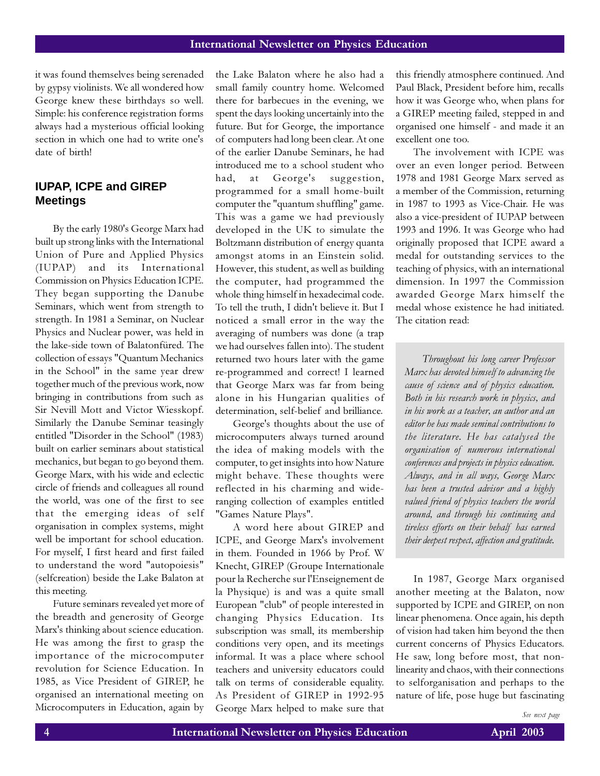it was found themselves being serenaded by gypsy violinists. We all wondered how George knew these birthdays so well. Simple: his conference registration forms always had a mysterious official looking section in which one had to write one's date of birth!

## **IUPAP, ICPE and GIREP Meetings**

By the early 1980's George Marx had built up strong links with the International Union of Pure and Applied Physics (IUPAP) and its International Commission on Physics Education ICPE. They began supporting the Danube Seminars, which went from strength to strength. In 1981 a Seminar, on Nuclear Physics and Nuclear power, was held in the lake-side town of Balatonfüred. The collection of essays "Quantum Mechanics in the School" in the same year drew together much of the previous work, now bringing in contributions from such as Sir Nevill Mott and Victor Wiesskopf. Similarly the Danube Seminar teasingly entitled "Disorder in the School" (1983) built on earlier seminars about statistical mechanics, but began to go beyond them. George Marx, with his wide and eclectic circle of friends and colleagues all round the world, was one of the first to see that the emerging ideas of self organisation in complex systems, might well be important for school education. For myself, I first heard and first failed to understand the word "autopoiesis" (selfcreation) beside the Lake Balaton at this meeting.

Future seminars revealed yet more of the breadth and generosity of George Marx's thinking about science education. He was among the first to grasp the importance of the microcomputer revolution for Science Education. In 1985, as Vice President of GIREP, he organised an international meeting on Microcomputers in Education, again by

the Lake Balaton where he also had a small family country home. Welcomed there for barbecues in the evening, we spent the days looking uncertainly into the future. But for George, the importance of computers had long been clear. At one of the earlier Danube Seminars, he had introduced me to a school student who had, at George's suggestion, programmed for a small home-built computer the "quantum shuffling" game. This was a game we had previously developed in the UK to simulate the Boltzmann distribution of energy quanta amongst atoms in an Einstein solid. However, this student, as well as building the computer, had programmed the whole thing himself in hexadecimal code. To tell the truth, I didn't believe it. But I noticed a small error in the way the averaging of numbers was done (a trap we had ourselves fallen into). The student returned two hours later with the game re-programmed and correct! I learned that George Marx was far from being alone in his Hungarian qualities of determination, self-belief and brilliance.

George's thoughts about the use of microcomputers always turned around the idea of making models with the computer, to get insights into how Nature might behave. These thoughts were reflected in his charming and wideranging collection of examples entitled "Games Nature Plays".

A word here about GIREP and ICPE, and George Marx's involvement in them. Founded in 1966 by Prof. W Knecht, GIREP (Groupe Internationale pour la Recherche sur l'Enseignement de la Physique) is and was a quite small European "club" of people interested in changing Physics Education. Its subscription was small, its membership conditions very open, and its meetings informal. It was a place where school teachers and university educators could talk on terms of considerable equality. As President of GIREP in 1992-95 George Marx helped to make sure that this friendly atmosphere continued. And Paul Black, President before him, recalls how it was George who, when plans for a GIREP meeting failed, stepped in and organised one himself - and made it an excellent one too.

The involvement with ICPE was over an even longer period. Between 1978 and 1981 George Marx served as a member of the Commission, returning in 1987 to 1993 as Vice-Chair. He was also a vice-president of IUPAP between 1993 and 1996. It was George who had originally proposed that ICPE award a medal for outstanding services to the teaching of physics, with an international dimension. In 1997 the Commission awarded George Marx himself the medal whose existence he had initiated. The citation read:

Throughout his long career Professor Marx has devoted himself to advancing the cause of science and of physics education. Both in his research work in physics, and in his work as a teacher, an author and an editor he has made seminal contributions to the literature. He has catalysed the organisation of numerous international conferences and projects in physics education. Always, and in all ways, George Marx has been a trusted advisor and a highly valued friend of physics teachers the world around, and through his continuing and tireless efforts on their behalf has earned their deepest respect, affection and gratitude.

In 1987, George Marx organised another meeting at the Balaton, now supported by ICPE and GIREP, on non linear phenomena. Once again, his depth of vision had taken him beyond the then current concerns of Physics Educators. He saw, long before most, that nonlinearity and chaos, with their connections to selforganisation and perhaps to the nature of life, pose huge but fascinating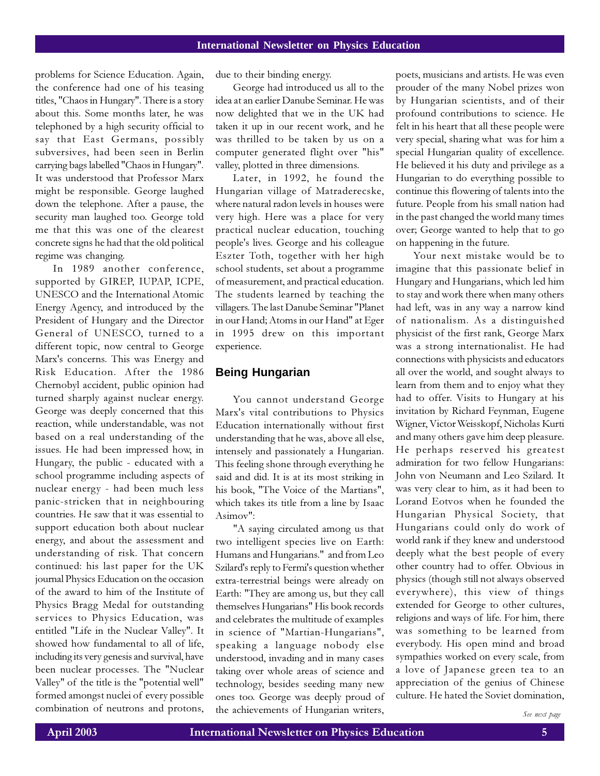problems for Science Education. Again, the conference had one of his teasing titles, "Chaos in Hungary". There is a story about this. Some months later, he was telephoned by a high security official to say that East Germans, possibly subversives, had been seen in Berlin carrying bags labelled "Chaos in Hungary". It was understood that Professor Marx might be responsible. George laughed down the telephone. After a pause, the security man laughed too. George told me that this was one of the clearest concrete signs he had that the old political regime was changing.

In 1989 another conference, supported by GIREP, IUPAP, ICPE, UNESCO and the International Atomic Energy Agency, and introduced by the President of Hungary and the Director General of UNESCO, turned to a different topic, now central to George Marx's concerns. This was Energy and Risk Education. After the 1986 Chernobyl accident, public opinion had turned sharply against nuclear energy. George was deeply concerned that this reaction, while understandable, was not based on a real understanding of the issues. He had been impressed how, in Hungary, the public - educated with a school programme including aspects of nuclear energy - had been much less panic-stricken that in neighbouring countries. He saw that it was essential to support education both about nuclear energy, and about the assessment and understanding of risk. That concern continued: his last paper for the UK journal Physics Education on the occasion of the award to him of the Institute of Physics Bragg Medal for outstanding services to Physics Education, was entitled "Life in the Nuclear Valley". It showed how fundamental to all of life, including its very genesis and survival, have been nuclear processes. The "Nuclear Valley" of the title is the "potential well" formed amongst nuclei of every possible combination of neutrons and protons,

due to their binding energy.

George had introduced us all to the idea at an earlier Danube Seminar. He was now delighted that we in the UK had taken it up in our recent work, and he was thrilled to be taken by us on a computer generated flight over "his" valley, plotted in three dimensions.

Later, in 1992, he found the Hungarian village of Matraderecske, where natural radon levels in houses were very high. Here was a place for very practical nuclear education, touching people's lives. George and his colleague Eszter Toth, together with her high school students, set about a programme of measurement, and practical education. The students learned by teaching the villagers. The last Danube Seminar "Planet in our Hand; Atoms in our Hand" at Eger in 1995 drew on this important experience.

#### **Being Hungarian**

You cannot understand George Marx's vital contributions to Physics Education internationally without first understanding that he was, above all else, intensely and passionately a Hungarian. This feeling shone through everything he said and did. It is at its most striking in his book, "The Voice of the Martians", which takes its title from a line by Isaac Asimov":

"A saying circulated among us that two intelligent species live on Earth: Humans and Hungarians." and from Leo Szilard's reply to Fermi's question whether extra-terrestrial beings were already on Earth: "They are among us, but they call themselves Hungarians" His book records and celebrates the multitude of examples in science of "Martian-Hungarians", speaking a language nobody else understood, invading and in many cases taking over whole areas of science and technology, besides seeding many new ones too. George was deeply proud of the achievements of Hungarian writers, poets, musicians and artists. He was even prouder of the many Nobel prizes won by Hungarian scientists, and of their profound contributions to science. He felt in his heart that all these people were very special, sharing what was for him a special Hungarian quality of excellence. He believed it his duty and privilege as a Hungarian to do everything possible to continue this flowering of talents into the future. People from his small nation had in the past changed the world many times over; George wanted to help that to go on happening in the future.

Your next mistake would be to imagine that this passionate belief in Hungary and Hungarians, which led him to stay and work there when many others had left, was in any way a narrow kind of nationalism. As a distinguished physicist of the first rank, George Marx was a strong internationalist. He had connections with physicists and educators all over the world, and sought always to learn from them and to enjoy what they had to offer. Visits to Hungary at his invitation by Richard Feynman, Eugene Wigner, Victor Weisskopf, Nicholas Kurti and many others gave him deep pleasure. He perhaps reserved his greatest admiration for two fellow Hungarians: John von Neumann and Leo Szilard. It was very clear to him, as it had been to Lorand Eotvos when he founded the Hungarian Physical Society, that Hungarians could only do work of world rank if they knew and understood deeply what the best people of every other country had to offer. Obvious in physics (though still not always observed everywhere), this view of things extended for George to other cultures, religions and ways of life. For him, there was something to be learned from everybody. His open mind and broad sympathies worked on every scale, from a love of Japanese green tea to an appreciation of the genius of Chinese culture. He hated the Soviet domination,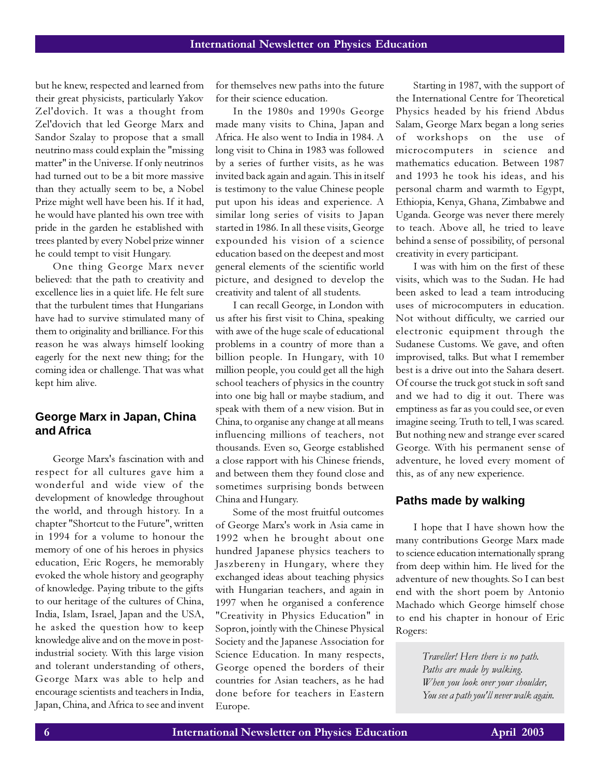but he knew, respected and learned from their great physicists, particularly Yakov Zel'dovich. It was a thought from Zel'dovich that led George Marx and Sandor Szalay to propose that a small neutrino mass could explain the "missing matter" in the Universe. If only neutrinos had turned out to be a bit more massive than they actually seem to be, a Nobel Prize might well have been his. If it had, he would have planted his own tree with pride in the garden he established with trees planted by every Nobel prize winner he could tempt to visit Hungary.

One thing George Marx never believed: that the path to creativity and excellence lies in a quiet life. He felt sure that the turbulent times that Hungarians have had to survive stimulated many of them to originality and brilliance. For this reason he was always himself looking eagerly for the next new thing; for the coming idea or challenge. That was what kept him alive.

### **George Marx in Japan, China and Africa**

George Marx's fascination with and respect for all cultures gave him a wonderful and wide view of the development of knowledge throughout the world, and through history. In a chapter "Shortcut to the Future", written in 1994 for a volume to honour the memory of one of his heroes in physics education, Eric Rogers, he memorably evoked the whole history and geography of knowledge. Paying tribute to the gifts to our heritage of the cultures of China, India, Islam, Israel, Japan and the USA, he asked the question how to keep knowledge alive and on the move in postindustrial society. With this large vision and tolerant understanding of others, George Marx was able to help and encourage scientists and teachers in India, Japan, China, and Africa to see and invent for themselves new paths into the future for their science education.

In the 1980s and 1990s George made many visits to China, Japan and Africa. He also went to India in 1984. A long visit to China in 1983 was followed by a series of further visits, as he was invited back again and again. This in itself is testimony to the value Chinese people put upon his ideas and experience. A similar long series of visits to Japan started in 1986. In all these visits, George expounded his vision of a science education based on the deepest and most general elements of the scientific world picture, and designed to develop the creativity and talent of all students.

I can recall George, in London with us after his first visit to China, speaking with awe of the huge scale of educational problems in a country of more than a billion people. In Hungary, with 10 million people, you could get all the high school teachers of physics in the country into one big hall or maybe stadium, and speak with them of a new vision. But in China, to organise any change at all means influencing millions of teachers, not thousands. Even so, George established a close rapport with his Chinese friends, and between them they found close and sometimes surprising bonds between China and Hungary.

Some of the most fruitful outcomes of George Marx's work in Asia came in 1992 when he brought about one hundred Japanese physics teachers to Jaszbereny in Hungary, where they exchanged ideas about teaching physics with Hungarian teachers, and again in 1997 when he organised a conference "Creativity in Physics Education" in Sopron, jointly with the Chinese Physical Society and the Japanese Association for Science Education. In many respects, George opened the borders of their countries for Asian teachers, as he had done before for teachers in Eastern Europe.

Starting in 1987, with the support of the International Centre for Theoretical Physics headed by his friend Abdus Salam, George Marx began a long series of workshops on the use of microcomputers in science and mathematics education. Between 1987 and 1993 he took his ideas, and his personal charm and warmth to Egypt, Ethiopia, Kenya, Ghana, Zimbabwe and Uganda. George was never there merely to teach. Above all, he tried to leave behind a sense of possibility, of personal creativity in every participant.

I was with him on the first of these visits, which was to the Sudan. He had been asked to lead a team introducing uses of microcomputers in education. Not without difficulty, we carried our electronic equipment through the Sudanese Customs. We gave, and often improvised, talks. But what I remember best is a drive out into the Sahara desert. Of course the truck got stuck in soft sand and we had to dig it out. There was emptiness as far as you could see, or even imagine seeing. Truth to tell, I was scared. But nothing new and strange ever scared George. With his permanent sense of adventure, he loved every moment of this, as of any new experience.

### **Paths made by walking**

I hope that I have shown how the many contributions George Marx made to science education internationally sprang from deep within him. He lived for the adventure of new thoughts. So I can best end with the short poem by Antonio Machado which George himself chose to end his chapter in honour of Eric Rogers:

> Traveller! Here there is no path. Paths are made by walking. When you look over your shoulder, You see a path you'll never walk again.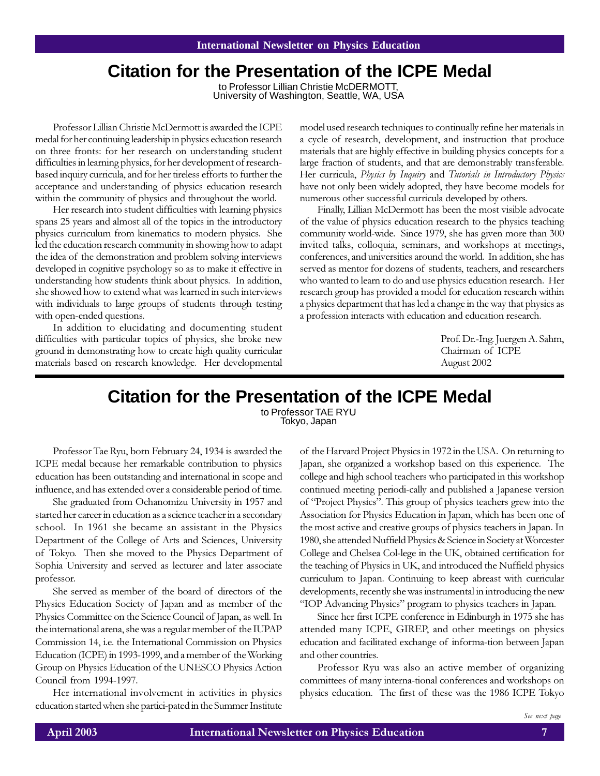# **Citation for the Presentation of the ICPE Medal**

to Professor Lillian Christie McDERMOTT, University of Washington, Seattle, WA, USA

Professor Lillian Christie McDermott is awarded the ICPE medal for her continuing leadership in physics education research on three fronts: for her research on understanding student difficulties in learning physics, for her development of researchbased inquiry curricula, and for her tireless efforts to further the acceptance and understanding of physics education research within the community of physics and throughout the world.

Her research into student difficulties with learning physics spans 25 years and almost all of the topics in the introductory physics curriculum from kinematics to modern physics. She led the education research community in showing how to adapt the idea of the demonstration and problem solving interviews developed in cognitive psychology so as to make it effective in understanding how students think about physics. In addition, she showed how to extend what was learned in such interviews with individuals to large groups of students through testing with open-ended questions.

In addition to elucidating and documenting student difficulties with particular topics of physics, she broke new ground in demonstrating how to create high quality curricular materials based on research knowledge. Her developmental model used research techniques to continually refine her materials in a cycle of research, development, and instruction that produce materials that are highly effective in building physics concepts for a large fraction of students, and that are demonstrably transferable. Her curricula, Physics by Inquiry and Tutorials in Introductory Physics have not only been widely adopted, they have become models for numerous other successful curricula developed by others.

Finally, Lillian McDermott has been the most visible advocate of the value of physics education research to the physics teaching community world-wide. Since 1979, she has given more than 300 invited talks, colloquia, seminars, and workshops at meetings, conferences, and universities around the world. In addition, she has served as mentor for dozens of students, teachers, and researchers who wanted to learn to do and use physics education research. Her research group has provided a model for education research within a physics department that has led a change in the way that physics as a profession interacts with education and education research.

> Prof. Dr.-Ing. Juergen A. Sahm, Chairman of ICPE August 2002

# **Citation for the Presentation of the ICPE Medal**

to Professor TAE RYU Tokyo, Japan

Professor Tae Ryu, born February 24, 1934 is awarded the ICPE medal because her remarkable contribution to physics education has been outstanding and international in scope and influence, and has extended over a considerable period of time.

She graduated from Ochanomizu University in 1957 and started her career in education as a science teacher in a secondary school. In 1961 she became an assistant in the Physics Department of the College of Arts and Sciences, University of Tokyo. Then she moved to the Physics Department of Sophia University and served as lecturer and later associate professor.

She served as member of the board of directors of the Physics Education Society of Japan and as member of the Physics Committee on the Science Council of Japan, as well. In the international arena, she was a regular member of the IUPAP Commission 14, i.e. the International Commission on Physics Education (ICPE) in 1993-1999, and a member of the Working Group on Physics Education of the UNESCO Physics Action Council from 1994-1997.

Her international involvement in activities in physics education started when she partici-pated in the Summer Institute

of the Harvard Project Physics in 1972 in the USA. On returning to Japan, she organized a workshop based on this experience. The college and high school teachers who participated in this workshop continued meeting periodi-cally and published a Japanese version of "Project Physics". This group of physics teachers grew into the Association for Physics Education in Japan, which has been one of the most active and creative groups of physics teachers in Japan. In 1980, she attended Nuffield Physics & Science in Society at Worcester College and Chelsea Col-lege in the UK, obtained certification for the teaching of Physics in UK, and introduced the Nuffield physics curriculum to Japan. Continuing to keep abreast with curricular developments, recently she was instrumental in introducing the new "IOP Advancing Physics" program to physics teachers in Japan.

Since her first ICPE conference in Edinburgh in 1975 she has attended many ICPE, GIREP, and other meetings on physics education and facilitated exchange of informa-tion between Japan and other countries.

Professor Ryu was also an active member of organizing committees of many interna-tional conferences and workshops on physics education. The first of these was the 1986 ICPE Tokyo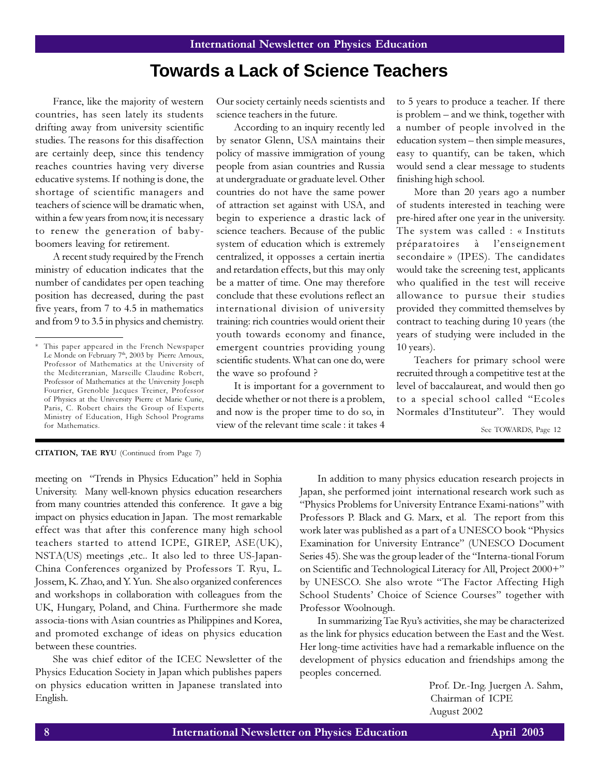## **Towards a Lack of Science Teachers**

France, like the majority of western countries, has seen lately its students drifting away from university scientific studies. The reasons for this disaffection are certainly deep, since this tendency reaches countries having very diverse educative systems. If nothing is done, the shortage of scientific managers and teachers of science will be dramatic when, within a few years from now, it is necessary to renew the generation of babyboomers leaving for retirement.

A recent study required by the French ministry of education indicates that the number of candidates per open teaching position has decreased, during the past five years, from 7 to 4.5 in mathematics and from 9 to 3.5 in physics and chemistry. Our society certainly needs scientists and science teachers in the future.

According to an inquiry recently led by senator Glenn, USA maintains their policy of massive immigration of young people from asian countries and Russia at undergraduate or graduate level. Other countries do not have the same power of attraction set against with USA, and begin to experience a drastic lack of science teachers. Because of the public system of education which is extremely centralized, it opposses a certain inertia and retardation effects, but this may only be a matter of time. One may therefore conclude that these evolutions reflect an international division of university training: rich countries would orient their youth towards economy and finance, emergent countries providing young scientific students. What can one do, were the wave so profound ?

It is important for a government to decide whether or not there is a problem, and now is the proper time to do so, in view of the relevant time scale : it takes 4

to 5 years to produce a teacher. If there is problem – and we think, together with a number of people involved in the education system – then simple measures, easy to quantify, can be taken, which would send a clear message to students finishing high school.

More than 20 years ago a number of students interested in teaching were pre-hired after one year in the university. The system was called : « Instituts préparatoires à l'enseignement secondaire » (IPES). The candidates would take the screening test, applicants who qualified in the test will receive allowance to pursue their studies provided they committed themselves by contract to teaching during 10 years (the years of studying were included in the 10 years).

Teachers for primary school were recruited through a competitive test at the level of baccalaureat, and would then go to a special school called "Ecoles Normales d'Instituteur". They would

See TOWARDS, Page 12

CITATION, TAE RYU (Continued from Page 7)

meeting on "Trends in Physics Education" held in Sophia University. Many well-known physics education researchers from many countries attended this conference. It gave a big impact on physics education in Japan. The most remarkable effect was that after this conference many high school teachers started to attend ICPE, GIREP, ASE(UK), NSTA(US) meetings ,etc.. It also led to three US-Japan-China Conferences organized by Professors T. Ryu, L. Jossem, K. Zhao, and Y. Yun. She also organized conferences and workshops in collaboration with colleagues from the UK, Hungary, Poland, and China. Furthermore she made associa-tions with Asian countries as Philippines and Korea, and promoted exchange of ideas on physics education between these countries.

She was chief editor of the ICEC Newsletter of the Physics Education Society in Japan which publishes papers on physics education written in Japanese translated into English.

In addition to many physics education research projects in Japan, she performed joint international research work such as "Physics Problems for University Entrance Exami-nations" with Professors P. Black and G. Marx, et al. The report from this work later was published as a part of a UNESCO book "Physics Examination for University Entrance" (UNESCO Document Series 45). She was the group leader of the "Interna-tional Forum on Scientific and Technological Literacy for All, Project 2000+" by UNESCO. She also wrote "The Factor Affecting High School Students' Choice of Science Courses" together with Professor Woolnough.

In summarizing Tae Ryu's activities, she may be characterized as the link for physics education between the East and the West. Her long-time activities have had a remarkable influence on the development of physics education and friendships among the peoples concerned.

> Prof. Dr.-Ing. Juergen A. Sahm, Chairman of ICPE August 2002

This paper appeared in the French Newspaper Le Monde on February  $7<sup>th</sup>$ , 2003 by Pierre Arnoux, Professor of Mathematics at the University of the Mediterranian, Marseille Claudine Robert, Professor of Mathematics at the University Joseph Fourrier, Grenoble Jacques Treiner, Professor of Physics at the University Pierre et Marie Curie, Paris, C. Robert chairs the Group of Experts Ministry of Education, High School Programs for Mathematics.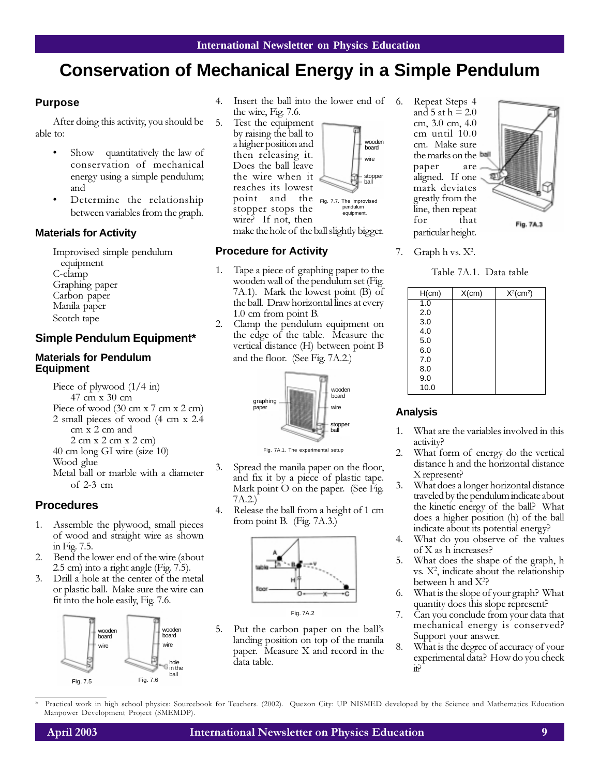# **Conservation of Mechanical Energy in a Simple Pendulum**

#### **Purpose**

After doing this activity, you should be able to:

- Show quantitatively the law of conservation of mechanical energy using a simple pendulum; and
- Determine the relationship between variables from the graph.

#### **Materials for Activity**

Improvised simple pendulum equipment C-clamp Graphing paper Carbon paper Manila paper Scotch tape

### **Simple Pendulum Equipment\***

#### **Materials for Pendulum Equipment**

Piece of plywood (1/4 in) 47 cm x 30 cm Piece of wood (30 cm x 7 cm x 2 cm) 2 small pieces of wood (4 cm x 2.4 cm x 2 cm and 2 cm x 2 cm x 2 cm) 40 cm long GI wire (size 10) Wood glue Metal ball or marble with a diameter of 2-3 cm

#### **Procedures**

- 1. Assemble the plywood, small pieces of wood and straight wire as shown in Fig. 7.5.
- 2. Bend the lower end of the wire (about 2.5 cm) into a right angle (Fig. 7.5).
- 3. Drill a hole at the center of the metal or plastic ball. Make sure the wire can fit into the hole easily, Fig. 7.6.



- 4. Insert the ball into the lower end of the wire, Fig. 7.6.
- 5. Test the equipment by raising the ball to a higher position and then releasing it. Does the ball leave the wire when it reaches its lowest point and the <sub>Fig. 7.7. The improvised</sub> stopper stops the wire? If not, then



make the hole of the ball slightly bigger.

#### **Procedure for Activity**

- 1. Tape a piece of graphing paper to the wooden wall of the pendulum set (Fig. 7A.1). Mark the lowest point (B) of the ball. Draw horizontal lines at every 1.0 cm from point B.
- 2. Clamp the pendulum equipment on the edge of the table. Measure the vertical distance (H) between point B and the floor. (See Fig. 7A.2.)



Fig. 7A.1. The experimental setup

- Spread the manila paper on the floor, and fix it by a piece of plastic tape. Mark point O on the paper. (See Fig. 7A.2.)
- 4. Release the ball from a height of 1 cm from point B. (Fig. 7A.3.)



5. Put the carbon paper on the ball's landing position on top of the manila paper. Measure X and record in the data table.

6. Repeat Steps 4 and 5 at  $h = 2.0$ cm, 3.0 cm, 4.0 cm until 10.0 cm. Make sure the marks on the ball<br>paper are paper aligned. If one mark deviates greatly from the line, then repeat<br>for that that particular height.



7. Graph  $h$  vs.  $X^2$ .

Table 7A.1. Data table

| H(cm) | $X$ (cm) | $X^2$ (cm <sup>2</sup> ) |
|-------|----------|--------------------------|
| 1.0   |          |                          |
| 2.0   |          |                          |
| 3.0   |          |                          |
| 4.0   |          |                          |
| 5.0   |          |                          |
| 6.0   |          |                          |
| 7.0   |          |                          |
| 8.0   |          |                          |
| 9.0   |          |                          |
| 10.0  |          |                          |

#### **Analysis**

- 1. What are the variables involved in this activity?
- 2. What form of energy do the vertical distance h and the horizontal distance X represent?
- 3. What does a longer horizontal distance traveled by the pendulum indicate about the kinetic energy of the ball? What does a higher position (h) of the ball indicate about its potential energy?
- 4. What do you observe of the values of X as h increases?
- 5. What does the shape of the graph, h vs.  $X^2$ , indicate about the relationship between  $h$  and  $X^2$ ?
- 6. What is the slope of your graph? What quantity does this slope represent?
- 7. Can you conclude from your data that mechanical energy is conserved? Support your answer.
- 8. What is the degree of accuracy of your experimental data? How do you check it?

Practical work in high school physics: Sourcebook for Teachers. (2002). Quezon City: UP NISMED developed by the Science and Mathematics Education Manpower Development Project (SMEMDP).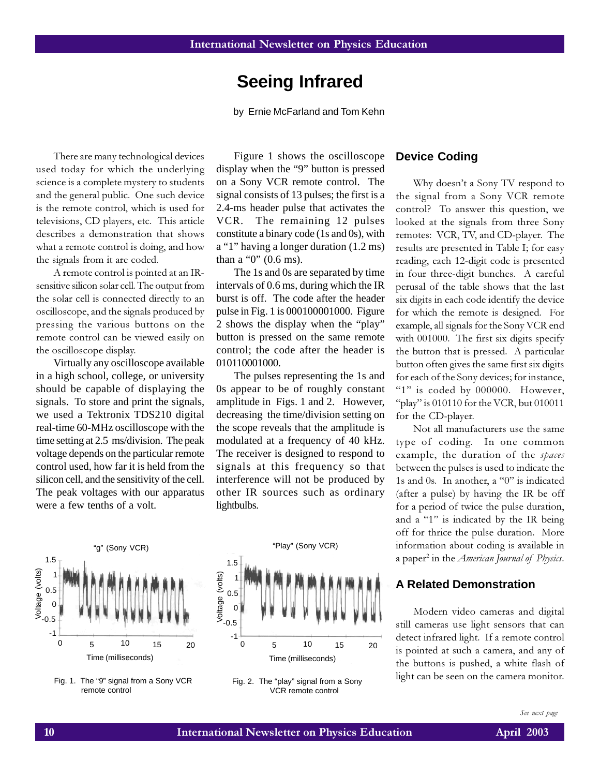## **Seeing Infrared**

by Ernie McFarland and Tom Kehn

There are many technological devices used today for which the underlying science is a complete mystery to students and the general public. One such device is the remote control, which is used for televisions, CD players, etc. This article describes a demonstration that shows what a remote control is doing, and how the signals from it are coded.

A remote control is pointed at an IRsensitive silicon solar cell. The output from the solar cell is connected directly to an oscilloscope, and the signals produced by pressing the various buttons on the remote control can be viewed easily on the oscilloscope display.

Virtually any oscilloscope available in a high school, college, or university should be capable of displaying the signals. To store and print the signals, we used a Tektronix TDS210 digital real-time 60-MHz oscilloscope with the time setting at 2.5 ms/division. The peak voltage depends on the particular remote control used, how far it is held from the silicon cell, and the sensitivity of the cell. The peak voltages with our apparatus were a few tenths of a volt.

Figure 1 shows the oscilloscope display when the "9" button is pressed on a Sony VCR remote control. The signal consists of 13 pulses; the first is a 2.4-ms header pulse that activates the VCR. The remaining 12 pulses constitute a binary code (1s and 0s), with a "1" having a longer duration (1.2 ms) than a "0"  $(0.6 \text{ ms})$ .

The 1s and 0s are separated by time intervals of 0.6 ms, during which the IR burst is off. The code after the header pulse in Fig. 1 is 000100001000. Figure 2 shows the display when the "play" button is pressed on the same remote control; the code after the header is 010110001000.

The pulses representing the 1s and 0s appear to be of roughly constant amplitude in Figs. 1 and 2. However, decreasing the time/division setting on the scope reveals that the amplitude is modulated at a frequency of 40 kHz. The receiver is designed to respond to signals at this frequency so that interference will not be produced by other IR sources such as ordinary lightbulbs.



remote control



Fig. 2. The "play" signal from a Sony VCR remote control

### **Device Coding**

Why doesn't a Sony TV respond to the signal from a Sony VCR remote control? To answer this question, we looked at the signals from three Sony remotes: VCR, TV, and CD-player. The results are presented in Table I; for easy reading, each 12-digit code is presented in four three-digit bunches. A careful perusal of the table shows that the last six digits in each code identify the device for which the remote is designed. For example, all signals for the Sony VCR end with 001000. The first six digits specify the button that is pressed. A particular button often gives the same first six digits for each of the Sony devices; for instance, "1" is coded by 000000. However, "play" is 010110 for the VCR, but 010011 for the CD-player.

Not all manufacturers use the same type of coding. In one common example, the duration of the spaces between the pulses is used to indicate the 1s and 0s. In another, a "0" is indicated (after a pulse) by having the IR be off for a period of twice the pulse duration, and a "1" is indicated by the IR being off for thrice the pulse duration. More information about coding is available in a paper<sup>2</sup> in the *American Journal of Physics*.

## **A Related Demonstration**

Modern video cameras and digital still cameras use light sensors that can detect infrared light. If a remote control is pointed at such a camera, and any of the buttons is pushed, a white flash of Fig. 1. The "9" signal from a Sony VCR Fig. 2. The "play" signal from a Sony light can be seen on the camera monitor.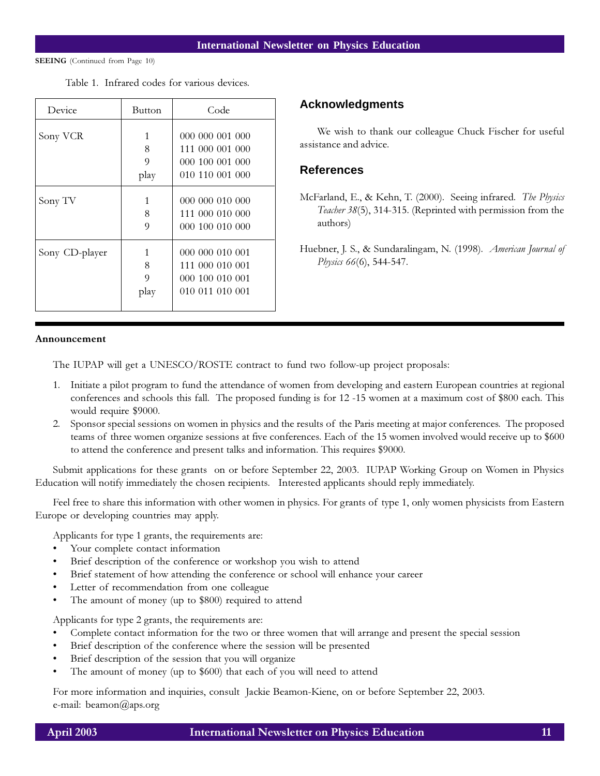SEEING (Continued from Page 10)

| Device         | Button              | Code                                                                     |
|----------------|---------------------|--------------------------------------------------------------------------|
| Sony VCR       | 1<br>8<br>9<br>play | 000 000 001 000<br>111 000 001 000<br>000 100 001 000<br>010 110 001 000 |
| Sony TV        | 1<br>8<br>9         | 000 000 010 000<br>111 000 010 000<br>000 100 010 000                    |
| Sony CD-player | 1<br>8<br>9<br>play | 000 000 010 001<br>111 000 010 001<br>000 100 010 001<br>010 011 010 001 |

Table 1. Infrared codes for various devices.

### **Acknowledgments**

We wish to thank our colleague Chuck Fischer for useful assistance and advice.

### **References**

McFarland, E., & Kehn, T. (2000). Seeing infrared. The Physics Teacher 38(5), 314-315. (Reprinted with permission from the authors)

Huebner, J. S., & Sundaralingam, N. (1998). American Journal of Physics 66(6), 544-547.

#### Announcement

The IUPAP will get a UNESCO/ROSTE contract to fund two follow-up project proposals:

- 1. Initiate a pilot program to fund the attendance of women from developing and eastern European countries at regional conferences and schools this fall. The proposed funding is for 12 -15 women at a maximum cost of \$800 each. This would require \$9000.
- 2. Sponsor special sessions on women in physics and the results of the Paris meeting at major conferences. The proposed teams of three women organize sessions at five conferences. Each of the 15 women involved would receive up to \$600 to attend the conference and present talks and information. This requires \$9000.

Submit applications for these grants on or before September 22, 2003. IUPAP Working Group on Women in Physics Education will notify immediately the chosen recipients. Interested applicants should reply immediately.

Feel free to share this information with other women in physics. For grants of type 1, only women physicists from Eastern Europe or developing countries may apply.

Applicants for type 1 grants, the requirements are:

- Your complete contact information
- Brief description of the conference or workshop you wish to attend
- Brief statement of how attending the conference or school will enhance your career
- Letter of recommendation from one colleague
- The amount of money (up to \$800) required to attend

Applicants for type 2 grants, the requirements are:

- Complete contact information for the two or three women that will arrange and present the special session
- Brief description of the conference where the session will be presented
- Brief description of the session that you will organize
- The amount of money (up to \$600) that each of you will need to attend

For more information and inquiries, consult Jackie Beamon-Kiene, on or before September 22, 2003. e-mail: beamon@aps.org